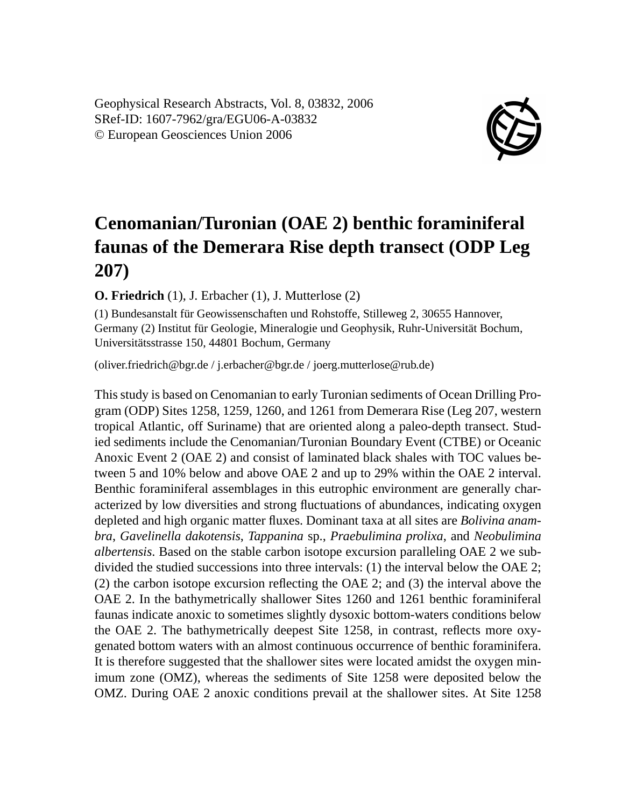Geophysical Research Abstracts, Vol. 8, 03832, 2006 SRef-ID: 1607-7962/gra/EGU06-A-03832 © European Geosciences Union 2006



## **Cenomanian/Turonian (OAE 2) benthic foraminiferal faunas of the Demerara Rise depth transect (ODP Leg 207)**

**O. Friedrich** (1), J. Erbacher (1), J. Mutterlose (2)

(1) Bundesanstalt für Geowissenschaften und Rohstoffe, Stilleweg 2, 30655 Hannover, Germany (2) Institut für Geologie, Mineralogie und Geophysik, Ruhr-Universität Bochum, Universitätsstrasse 150, 44801 Bochum, Germany

(oliver.friedrich@bgr.de / j.erbacher@bgr.de / joerg.mutterlose@rub.de)

This study is based on Cenomanian to early Turonian sediments of Ocean Drilling Program (ODP) Sites 1258, 1259, 1260, and 1261 from Demerara Rise (Leg 207, western tropical Atlantic, off Suriname) that are oriented along a paleo-depth transect. Studied sediments include the Cenomanian/Turonian Boundary Event (CTBE) or Oceanic Anoxic Event 2 (OAE 2) and consist of laminated black shales with TOC values between 5 and 10% below and above OAE 2 and up to 29% within the OAE 2 interval. Benthic foraminiferal assemblages in this eutrophic environment are generally characterized by low diversities and strong fluctuations of abundances, indicating oxygen depleted and high organic matter fluxes. Dominant taxa at all sites are *Bolivina anambra*, *Gavelinella dakotensis*, *Tappanina* sp., *Praebulimina prolixa*, and *Neobulimina albertensis*. Based on the stable carbon isotope excursion paralleling OAE 2 we subdivided the studied successions into three intervals: (1) the interval below the OAE 2; (2) the carbon isotope excursion reflecting the OAE 2; and (3) the interval above the OAE 2. In the bathymetrically shallower Sites 1260 and 1261 benthic foraminiferal faunas indicate anoxic to sometimes slightly dysoxic bottom-waters conditions below the OAE 2. The bathymetrically deepest Site 1258, in contrast, reflects more oxygenated bottom waters with an almost continuous occurrence of benthic foraminifera. It is therefore suggested that the shallower sites were located amidst the oxygen minimum zone (OMZ), whereas the sediments of Site 1258 were deposited below the OMZ. During OAE 2 anoxic conditions prevail at the shallower sites. At Site 1258